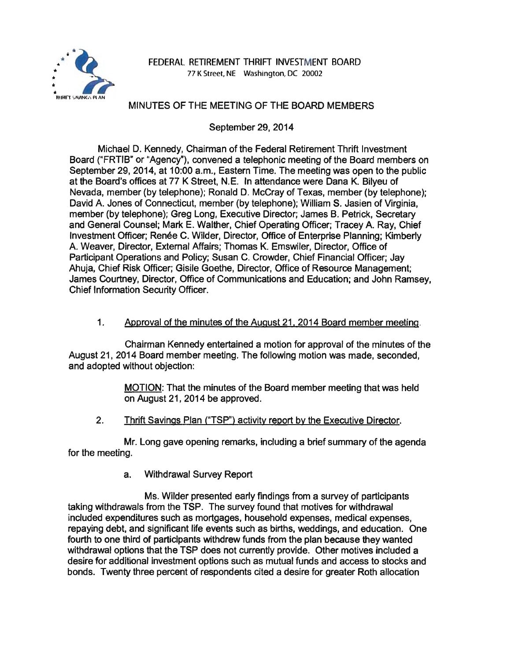

## FEDERAL RETIREMENT THRIFT INVESTMENT BOARD 77 K Street, NE Washington, DC 20002

# MINUTES OF THE MEETING OF THE BOARD MEMBERS

September 29, 2014

Michael D. Kennedy, Chairman of the Federal Retirement Thrift Investment Board ("FRTIB" or "Agency"), convened a telephonic meeting of the Board members on September 29, 2014, at 10:00 a.m., Eastern Time. The meeting was open to the public at the Board's offices at 77 K Street, N. E. In attendance were Dana K. Bilyeu of Nevada, member (by telephone); Ronald D. McCray of Texas, member (by telephone); David A. Jones of Connecticut, member (by telephone); William S. Jasien of Virginia, member (by telephone); Greg Long, Executive Director; James B. Petrick, Secretary and General Counsel; Mark E. Walther, Chief Operating Officer; Tracey A. Ray, Chief Investment Officer; Renée C. Wilder, Director, Office of Enterprise Planning; Kimberly A. Weaver, Director, External Affairs; Thomas K. Emswiler, Director, Office of Participant Operations and Policy; Susan C. Crowder, Chief Financial Officer; Jay Ahuja, Chief Risk Officer; Gisile Goethe, Director, Office of Resource Management; James Courtney, Director, Office of Communications and Education; and John Ramsey, Chief Information Security Officer.

#### 1. Approval of the minutes of the August 21. 2014 Board member meeting.

Chairman Kennedy entertained a motion for approval of the minutes of the August 21, 2014 Board member meeting. The following motion was made, seconded, and adopted without objection:

> MOTION: That the minutes of the Board member meeting that was held on August 21, 2014 be approved.

2. Thrift Savings Plan ("TSP") activity report by the Executive Director.

Mr. Long gave opening remarks, including a brief summary of the agenda for the meeting.

a. Withdrawal Survey Report

Ms. Wilder presented early findings from a survey of participants taking withdrawals from the TSP. The survey found that motives for withdrawal included expenditures such as mortgages, household expenses, medical expenses, repaying debt, and significant life events such as births, weddings, and education. One fourth to one third of participants withdrew funds from the plan because they wanted withdrawal options that the TSP does not currently provide. Other motives included a desire for additional investment options such as mutual funds and access to stocks and bonds. Twenty three percent of respondents cited a desire for greater Roth allocation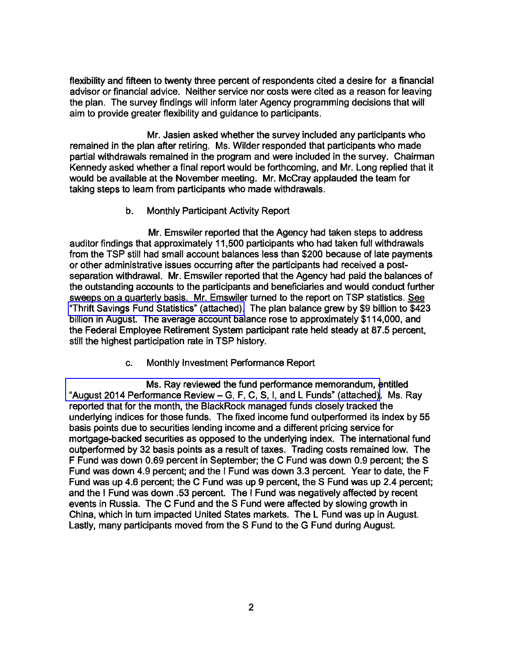flexibility and fifteen to twenty three percent of respondents cited a desire for a financial advisor or financial advice. Neither service nor costs were cited as a reason for leaving the plan. The survey findings will inform later Agency programming decisions that will aim to provide greater flexibility and guidance to participants.

Mr. Jasien asked whether the survey included any participants who remained in the plan after retiring. Ms. Wilder responded that participants who made partial withdrawals remained in the program and were included in the survey. Chairman Kennedy asked whether a final report would be forthcoming, and Mr. Long replied that it would be available at the November meeting. Mr. McCray applauded the team for taking steps to learn from participants who made withdrawals.

#### b. Monthly Participant Activity Report

Mr. Emswiler reported that the Agency had taken steps to address auditor findings that approximately 11,500 participants who had taken full withdrawals from the TSP still had small account balances less than \$200 because of late payments or other administrative issues occurring after the participants had received a postseparation withdrawal. Mr. Emswiler reported that the Agency had paid the balances of the outstanding accounts to the participants and beneficiaries and would conduct further sweeps on a quarterly basis. Mr. Emswiler turned to the report on TSP statistics. See ["Thrift Savings Fund Statistics" \(attached\).](http://www.frtib.gov/pdf/minutes/MM-2014Sep-Att1.pdf) The plan balance grew by \$9 billion to \$423 billion in August. The average account balance rose to approximately \$114,000, and the Federal Employee Retirement System participant rate held steady at 87 .5 percent, still the highest participation rate in TSP history.

c. Monthly Investment Performance Report

[Ms. Ray reviewed the fund performance memorandum, e](http://www.frtib.gov/pdf/minutes/MM-2014Sep-Att2.pdf)ntitled "August 2014 Performance Review- G, F, C, S, I, and L Funds" (attached). Ms. Ray reported that for the month, the BlackRock managed funds closely tracked the underlying indices for those funds. The fixed income fund outperformed its index by 55 basis points due to securities lending income and a different pricing service for mortgage-backed securities as opposed to the underlying index. The international fund outperformed by 32 basis points as a result of taxes. Trading costs remained low. The F Fund was down 0.69 percent in September; the C Fund was down 0.9 percent; the S Fund was down 4.9 percent; and the I Fund was down 3.3 percent. Year to date, the F Fund was up 4.6 percent; the C Fund was up 9 percent, the S Fund was up 2.4 percent; and the I Fund was down .53 percent. The I Fund was negatively affected by recent events in Russia. The C Fund and the S Fund were affected by slowing growth in China, which in turn impacted United States markets. The L Fund was up in August. Lastly, many participants moved from the S Fund to the G Fund during August.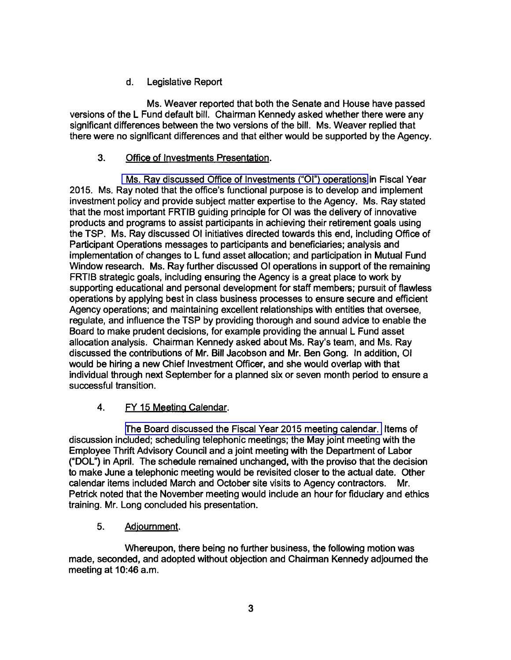# d. Legislative Report

Ms. Weaver reported that both the Senate and House have passed versions of the L Fund default bill. Chairman Kennedy asked whether there were any significant differences between the two versions of the bill. Ms. Weaver replied that there were no significant differences and that either would be supported by the Agency.

# 3. Office of Investments Presentation.

[Ms. Ray discussed Office of Investments \("OI"\) operations](http://www.frtib.gov/pdf/minutes/MM-2014Sep-Att4.pdf) in Fiscal Year 2015. Ms. Ray noted that the office's functional purpose is to develop and implement investment policy and provide subject matter expertise to the Agency. Ms. Ray stated that the most important FRTIB guiding principle for 01 was the delivery of innovative products and programs to assist participants in achieving their retirement goals using the TSP. Ms. Ray discussed 01 initiatives directed towards this end, including Office of Participant Operations messages to participants and beneficiaries; analysis and implementation of changes to L fund asset allocation; and participation in Mutual Fund Window research. Ms. Ray further discussed 01 operations in support of the remaining FRTIB strategic goals, including ensuring the Agency is a great place to work by supporting educational and personal development for staff members; pursuit of flawless operations by applying best in class business processes to ensure secure and efficient Agency operations; and maintaining excellent relationships with entities that oversee, regulate, and influence the TSP by providing thorough and sound advice to enable the Board to make prudent decisions, for example providing the annual L Fund asset allocation analysis. Chairman Kennedy asked about Ms. Ray's team, and Ms. Ray discussed the contributions of Mr. Bill Jacobson and Mr. Ben Gong. In addition, 01 would be hiring a new Chief Investment Officer, and she would overlap with that individual through next September for a planned six or seven month period to ensure a successful transition.

## 4. FY 15 Meeting Calendar.

[The Board discussed the Fiscal Year](http://www.frtib.gov/pdf/minutes/MM-2014Sep-Att3.pdf) 2015 meeting calendar. Items of discussion included; scheduling telephonic meetings; the May joint meeting with the Employee Thrift Advisory Council and a joint meeting with the Department of Labor ("DOL") in April. The schedule remained unchanged, with the proviso that the decision to make June a telephonic meeting would be revisited closer to the actual date. Other calendar items included March and October site visits to Agency contractors. Mr. Petrick noted that the November meeting would include an hour for fiduciary and ethics training. Mr. Long concluded his presentation.

## 5. Adjournment.

Whereupon, there being no further business, the following motion was made, seconded, and adopted without objection and Chairman Kennedy adjourned the meeting at 10:46 a.m.